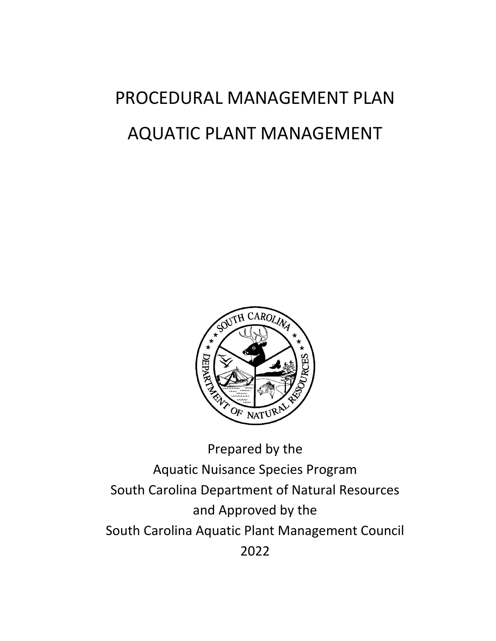# PROCEDURAL MANAGEMENT PLAN AQUATIC PLANT MANAGEMENT



Aquatic Nuisance Species Program South Carolina Department of Natural Resources and Approved by the South Carolina Aquatic Plant Management Council 2022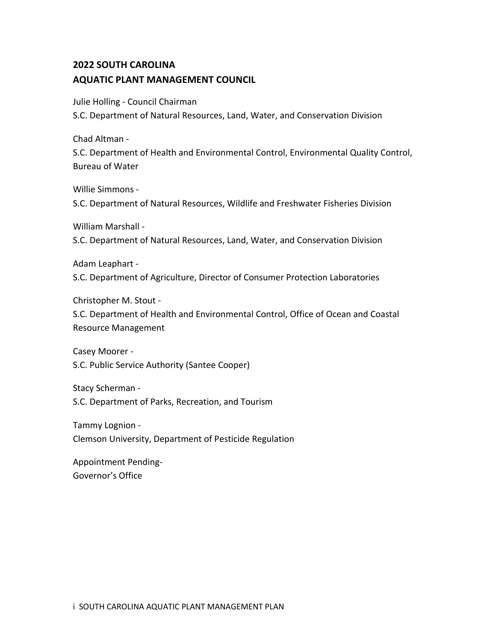## **2022 SOUTH CAROLINA AQUATIC PLANT MANAGEMENT COUNCIL**

Julie Holling - Council Chairman

S.C. Department of Natural Resources, Land, Water, and Conservation Division

Chad Altman -

S.C. Department of Health and Environmental Control, Environmental Quality Control, Bureau of Water

Willie Simmons -

S.C. Department of Natural Resources, Wildlife and Freshwater Fisheries Division

William Marshall -

S.C. Department of Natural Resources, Land, Water, and Conservation Division

Adam Leaphart -

S.C. Department of Agriculture, Director of Consumer Protection Laboratories

Christopher M. Stout -

S.C. Department of Health and Environmental Control, Office of Ocean and Coastal Resource Management

Casey Moorer - S.C. Public Service Authority (Santee Cooper)

Stacy Scherman - S.C. Department of Parks, Recreation, and Tourism

Tammy Lognion - Clemson University, Department of Pesticide Regulation

Appointment Pending-Governor's Office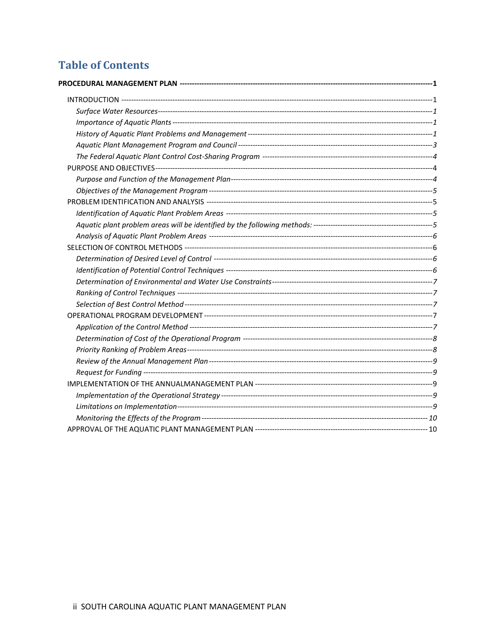## **Table of Contents**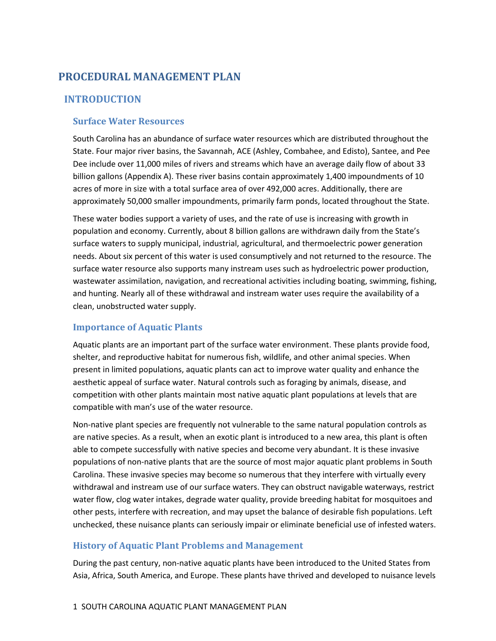## <span id="page-3-0"></span>**PROCEDURAL MANAGEMENT PLAN**

#### <span id="page-3-1"></span>**INTRODUCTION**

#### <span id="page-3-2"></span>**Surface Water Resources**

South Carolina has an abundance of surface water resources which are distributed throughout the State. Four major river basins, the Savannah, ACE (Ashley, Combahee, and Edisto), Santee, and Pee Dee include over 11,000 miles of rivers and streams which have an average daily flow of about 33 billion gallons (Appendix A). These river basins contain approximately 1,400 impoundments of 10 acres of more in size with a total surface area of over 492,000 acres. Additionally, there are approximately 50,000 smaller impoundments, primarily farm ponds, located throughout the State.

These water bodies support a variety of uses, and the rate of use is increasing with growth in population and economy. Currently, about 8 billion gallons are withdrawn daily from the State's surface waters to supply municipal, industrial, agricultural, and thermoelectric power generation needs. About six percent of this water is used consumptively and not returned to the resource. The surface water resource also supports many instream uses such as hydroelectric power production, wastewater assimilation, navigation, and recreational activities including boating, swimming, fishing, and hunting. Nearly all of these withdrawal and instream water uses require the availability of a clean, unobstructed water supply.

#### <span id="page-3-3"></span>**Importance of Aquatic Plants**

Aquatic plants are an important part of the surface water environment. These plants provide food, shelter, and reproductive habitat for numerous fish, wildlife, and other animal species. When present in limited populations, aquatic plants can act to improve water quality and enhance the aesthetic appeal of surface water. Natural controls such as foraging by animals, disease, and competition with other plants maintain most native aquatic plant populations at levels that are compatible with man's use of the water resource.

Non-native plant species are frequently not vulnerable to the same natural population controls as are native species. As a result, when an exotic plant is introduced to a new area, this plant is often able to compete successfully with native species and become very abundant. It is these invasive populations of non-native plants that are the source of most major aquatic plant problems in South Carolina. These invasive species may become so numerous that they interfere with virtually every withdrawal and instream use of our surface waters. They can obstruct navigable waterways, restrict water flow, clog water intakes, degrade water quality, provide breeding habitat for mosquitoes and other pests, interfere with recreation, and may upset the balance of desirable fish populations. Left unchecked, these nuisance plants can seriously impair or eliminate beneficial use of infested waters.

#### <span id="page-3-4"></span>**History of Aquatic Plant Problems and Management**

During the past century, non-native aquatic plants have been introduced to the United States from Asia, Africa, South America, and Europe. These plants have thrived and developed to nuisance levels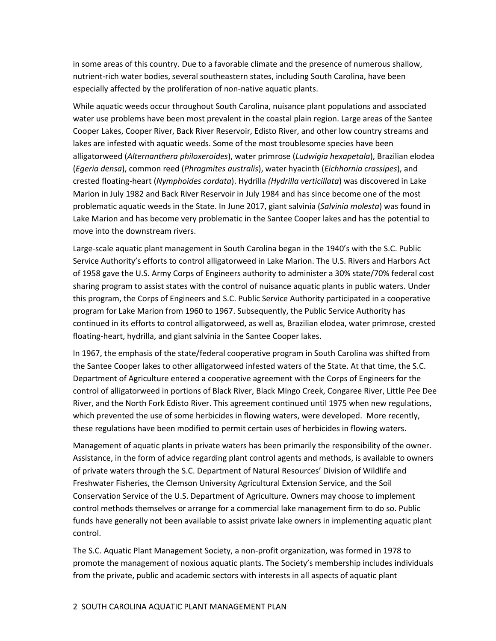in some areas of this country. Due to a favorable climate and the presence of numerous shallow, nutrient-rich water bodies, several southeastern states, including South Carolina, have been especially affected by the proliferation of non-native aquatic plants.

While aquatic weeds occur throughout South Carolina, nuisance plant populations and associated water use problems have been most prevalent in the coastal plain region. Large areas of the Santee Cooper Lakes, Cooper River, Back River Reservoir, Edisto River, and other low country streams and lakes are infested with aquatic weeds. Some of the most troublesome species have been alligatorweed (*Alternanthera philoxeroides*), water primrose (*Ludwigia hexapetala*), Brazilian elodea (*Egeria densa*), common reed (*Phragmites australis*), water hyacinth (*Eichhornia crassipes*), and crested floating-heart (*Nymphoides cordata*). Hydrilla *(Hydrilla verticillata*) was discovered in Lake Marion in July 1982 and Back River Reservoir in July 1984 and has since become one of the most problematic aquatic weeds in the State. In June 2017, giant salvinia (*Salvinia molesta*) was found in Lake Marion and has become very problematic in the Santee Cooper lakes and has the potential to move into the downstream rivers.

Large-scale aquatic plant management in South Carolina began in the 1940's with the S.C. Public Service Authority's efforts to control alligatorweed in Lake Marion. The U.S. Rivers and Harbors Act of 1958 gave the U.S. Army Corps of Engineers authority to administer a 30% state/70% federal cost sharing program to assist states with the control of nuisance aquatic plants in public waters. Under this program, the Corps of Engineers and S.C. Public Service Authority participated in a cooperative program for Lake Marion from 1960 to 1967. Subsequently, the Public Service Authority has continued in its efforts to control alligatorweed, as well as, Brazilian elodea, water primrose, crested floating-heart, hydrilla, and giant salvinia in the Santee Cooper lakes.

In 1967, the emphasis of the state/federal cooperative program in South Carolina was shifted from the Santee Cooper lakes to other alligatorweed infested waters of the State. At that time, the S.C. Department of Agriculture entered a cooperative agreement with the Corps of Engineers for the control of alligatorweed in portions of Black River, Black Mingo Creek, Congaree River, Little Pee Dee River, and the North Fork Edisto River. This agreement continued until 1975 when new regulations, which prevented the use of some herbicides in flowing waters, were developed. More recently, these regulations have been modified to permit certain uses of herbicides in flowing waters.

Management of aquatic plants in private waters has been primarily the responsibility of the owner. Assistance, in the form of advice regarding plant control agents and methods, is available to owners of private waters through the S.C. Department of Natural Resources' Division of Wildlife and Freshwater Fisheries, the Clemson University Agricultural Extension Service, and the Soil Conservation Service of the U.S. Department of Agriculture. Owners may choose to implement control methods themselves or arrange for a commercial lake management firm to do so. Public funds have generally not been available to assist private lake owners in implementing aquatic plant control.

The S.C. Aquatic Plant Management Society, a non-profit organization, was formed in 1978 to promote the management of noxious aquatic plants. The Society's membership includes individuals from the private, public and academic sectors with interests in all aspects of aquatic plant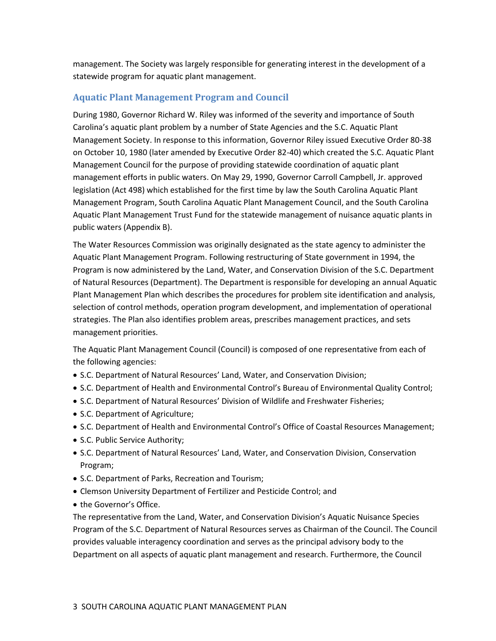management. The Society was largely responsible for generating interest in the development of a statewide program for aquatic plant management.

#### <span id="page-5-0"></span>**Aquatic Plant Management Program and Council**

During 1980, Governor Richard W. Riley was informed of the severity and importance of South Carolina's aquatic plant problem by a number of State Agencies and the S.C. Aquatic Plant Management Society. In response to this information, Governor Riley issued Executive Order 80-38 on October 10, 1980 (later amended by Executive Order 82-40) which created the S.C. Aquatic Plant Management Council for the purpose of providing statewide coordination of aquatic plant management efforts in public waters. On May 29, 1990, Governor Carroll Campbell, Jr. approved legislation (Act 498) which established for the first time by law the South Carolina Aquatic Plant Management Program, South Carolina Aquatic Plant Management Council, and the South Carolina Aquatic Plant Management Trust Fund for the statewide management of nuisance aquatic plants in public waters (Appendix B).

The Water Resources Commission was originally designated as the state agency to administer the Aquatic Plant Management Program. Following restructuring of State government in 1994, the Program is now administered by the Land, Water, and Conservation Division of the S.C. Department of Natural Resources (Department). The Department is responsible for developing an annual Aquatic Plant Management Plan which describes the procedures for problem site identification and analysis, selection of control methods, operation program development, and implementation of operational strategies. The Plan also identifies problem areas, prescribes management practices, and sets management priorities.

The Aquatic Plant Management Council (Council) is composed of one representative from each of the following agencies:

- S.C. Department of Natural Resources' Land, Water, and Conservation Division;
- S.C. Department of Health and Environmental Control's Bureau of Environmental Quality Control;
- S.C. Department of Natural Resources' Division of Wildlife and Freshwater Fisheries;
- S.C. Department of Agriculture;
- S.C. Department of Health and Environmental Control's Office of Coastal Resources Management;
- S.C. Public Service Authority;
- S.C. Department of Natural Resources' Land, Water, and Conservation Division, Conservation Program;
- S.C. Department of Parks, Recreation and Tourism;
- Clemson University Department of Fertilizer and Pesticide Control; and
- the Governor's Office.

The representative from the Land, Water, and Conservation Division's Aquatic Nuisance Species Program of the S.C. Department of Natural Resources serves as Chairman of the Council. The Council provides valuable interagency coordination and serves as the principal advisory body to the Department on all aspects of aquatic plant management and research. Furthermore, the Council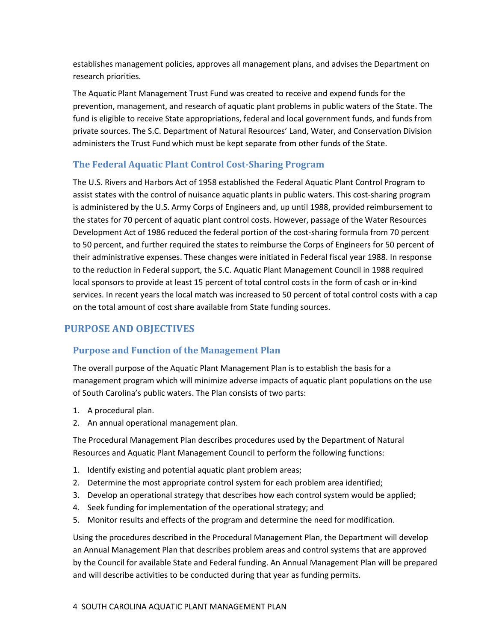establishes management policies, approves all management plans, and advises the Department on research priorities.

The Aquatic Plant Management Trust Fund was created to receive and expend funds for the prevention, management, and research of aquatic plant problems in public waters of the State. The fund is eligible to receive State appropriations, federal and local government funds, and funds from private sources. The S.C. Department of Natural Resources' Land, Water, and Conservation Division administers the Trust Fund which must be kept separate from other funds of the State.

### <span id="page-6-0"></span>**The Federal Aquatic Plant Control Cost-Sharing Program**

The U.S. Rivers and Harbors Act of 1958 established the Federal Aquatic Plant Control Program to assist states with the control of nuisance aquatic plants in public waters. This cost-sharing program is administered by the U.S. Army Corps of Engineers and, up until 1988, provided reimbursement to the states for 70 percent of aquatic plant control costs. However, passage of the Water Resources Development Act of 1986 reduced the federal portion of the cost-sharing formula from 70 percent to 50 percent, and further required the states to reimburse the Corps of Engineers for 50 percent of their administrative expenses. These changes were initiated in Federal fiscal year 1988. In response to the reduction in Federal support, the S.C. Aquatic Plant Management Council in 1988 required local sponsors to provide at least 15 percent of total control costs in the form of cash or in-kind services. In recent years the local match was increased to 50 percent of total control costs with a cap on the total amount of cost share available from State funding sources.

## <span id="page-6-1"></span>**PURPOSE AND OBJECTIVES**

#### <span id="page-6-2"></span>**Purpose and Function of the Management Plan**

The overall purpose of the Aquatic Plant Management Plan is to establish the basis for a management program which will minimize adverse impacts of aquatic plant populations on the use of South Carolina's public waters. The Plan consists of two parts:

- 1. A procedural plan.
- 2. An annual operational management plan.

The Procedural Management Plan describes procedures used by the Department of Natural Resources and Aquatic Plant Management Council to perform the following functions:

- 1. Identify existing and potential aquatic plant problem areas;
- 2. Determine the most appropriate control system for each problem area identified;
- 3. Develop an operational strategy that describes how each control system would be applied;
- 4. Seek funding for implementation of the operational strategy; and
- 5. Monitor results and effects of the program and determine the need for modification.

Using the procedures described in the Procedural Management Plan, the Department will develop an Annual Management Plan that describes problem areas and control systems that are approved by the Council for available State and Federal funding. An Annual Management Plan will be prepared and will describe activities to be conducted during that year as funding permits.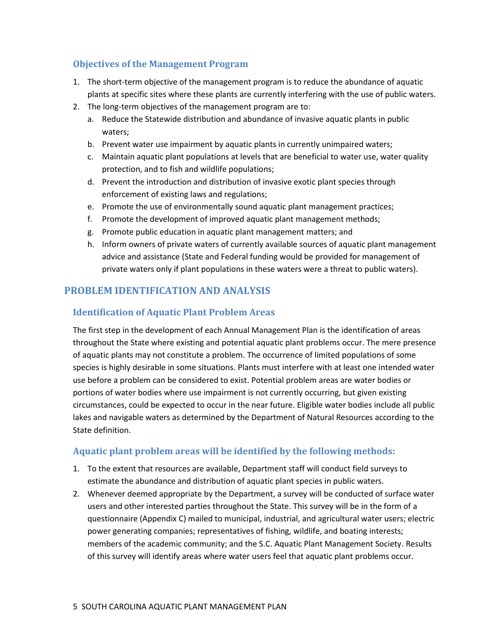#### <span id="page-7-0"></span>**Objectives of the Management Program**

- 1. The short-term objective of the management program is to reduce the abundance of aquatic plants at specific sites where these plants are currently interfering with the use of public waters.
- 2. The long-term objectives of the management program are to:
	- a. Reduce the Statewide distribution and abundance of invasive aquatic plants in public waters;
	- b. Prevent water use impairment by aquatic plants in currently unimpaired waters;
	- c. Maintain aquatic plant populations at levels that are beneficial to water use, water quality protection, and to fish and wildlife populations;
	- d. Prevent the introduction and distribution of invasive exotic plant species through enforcement of existing laws and regulations;
	- e. Promote the use of environmentally sound aquatic plant management practices;
	- f. Promote the development of improved aquatic plant management methods;
	- g. Promote public education in aquatic plant management matters; and
	- h. Inform owners of private waters of currently available sources of aquatic plant management advice and assistance (State and Federal funding would be provided for management of private waters only if plant populations in these waters were a threat to public waters).

### <span id="page-7-1"></span>**PROBLEM IDENTIFICATION AND ANALYSIS**

#### <span id="page-7-2"></span>**Identification of Aquatic Plant Problem Areas**

The first step in the development of each Annual Management Plan is the identification of areas throughout the State where existing and potential aquatic plant problems occur. The mere presence of aquatic plants may not constitute a problem. The occurrence of limited populations of some species is highly desirable in some situations. Plants must interfere with at least one intended water use before a problem can be considered to exist. Potential problem areas are water bodies or portions of water bodies where use impairment is not currently occurring, but given existing circumstances, could be expected to occur in the near future. Eligible water bodies include all public lakes and navigable waters as determined by the Department of Natural Resources according to the State definition.

#### <span id="page-7-3"></span>**Aquatic plant problem areas will be identified by the following methods:**

- 1. To the extent that resources are available, Department staff will conduct field surveys to estimate the abundance and distribution of aquatic plant species in public waters.
- 2. Whenever deemed appropriate by the Department, a survey will be conducted of surface water users and other interested parties throughout the State. This survey will be in the form of a questionnaire (Appendix C) mailed to municipal, industrial, and agricultural water users; electric power generating companies; representatives of fishing, wildlife, and boating interests; members of the academic community; and the S.C. Aquatic Plant Management Society. Results of this survey will identify areas where water users feel that aquatic plant problems occur.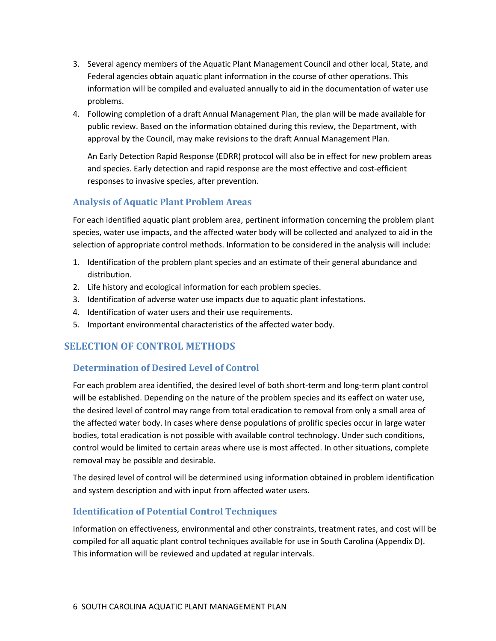- 3. Several agency members of the Aquatic Plant Management Council and other local, State, and Federal agencies obtain aquatic plant information in the course of other operations. This information will be compiled and evaluated annually to aid in the documentation of water use problems.
- 4. Following completion of a draft Annual Management Plan, the plan will be made available for public review. Based on the information obtained during this review, the Department, with approval by the Council, may make revisions to the draft Annual Management Plan.

An Early Detection Rapid Response (EDRR) protocol will also be in effect for new problem areas and species. Early detection and rapid response are the most effective and cost-efficient responses to invasive species, after prevention.

#### <span id="page-8-0"></span>**Analysis of Aquatic Plant Problem Areas**

For each identified aquatic plant problem area, pertinent information concerning the problem plant species, water use impacts, and the affected water body will be collected and analyzed to aid in the selection of appropriate control methods. Information to be considered in the analysis will include:

- 1. Identification of the problem plant species and an estimate of their general abundance and distribution.
- 2. Life history and ecological information for each problem species.
- 3. Identification of adverse water use impacts due to aquatic plant infestations.
- 4. Identification of water users and their use requirements.
- 5. Important environmental characteristics of the affected water body.

#### <span id="page-8-1"></span>**SELECTION OF CONTROL METHODS**

#### <span id="page-8-2"></span>**Determination of Desired Level of Control**

For each problem area identified, the desired level of both short-term and long-term plant control will be established. Depending on the nature of the problem species and its eaffect on water use, the desired level of control may range from total eradication to removal from only a small area of the affected water body. In cases where dense populations of prolific species occur in large water bodies, total eradication is not possible with available control technology. Under such conditions, control would be limited to certain areas where use is most affected. In other situations, complete removal may be possible and desirable.

The desired level of control will be determined using information obtained in problem identification and system description and with input from affected water users.

#### <span id="page-8-3"></span>**Identification of Potential Control Techniques**

Information on effectiveness, environmental and other constraints, treatment rates, and cost will be compiled for all aquatic plant control techniques available for use in South Carolina (Appendix D). This information will be reviewed and updated at regular intervals.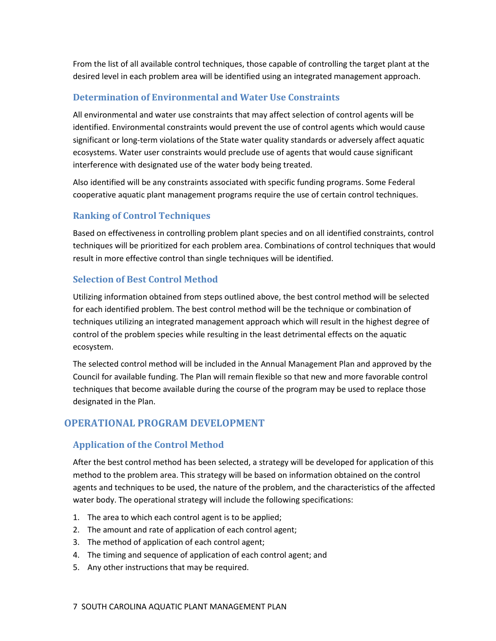From the list of all available control techniques, those capable of controlling the target plant at the desired level in each problem area will be identified using an integrated management approach.

#### <span id="page-9-0"></span>**Determination of Environmental and Water Use Constraints**

All environmental and water use constraints that may affect selection of control agents will be identified. Environmental constraints would prevent the use of control agents which would cause significant or long-term violations of the State water quality standards or adversely affect aquatic ecosystems. Water user constraints would preclude use of agents that would cause significant interference with designated use of the water body being treated.

Also identified will be any constraints associated with specific funding programs. Some Federal cooperative aquatic plant management programs require the use of certain control techniques.

#### <span id="page-9-1"></span>**Ranking of Control Techniques**

Based on effectiveness in controlling problem plant species and on all identified constraints, control techniques will be prioritized for each problem area. Combinations of control techniques that would result in more effective control than single techniques will be identified.

#### <span id="page-9-2"></span>**Selection of Best Control Method**

Utilizing information obtained from steps outlined above, the best control method will be selected for each identified problem. The best control method will be the technique or combination of techniques utilizing an integrated management approach which will result in the highest degree of control of the problem species while resulting in the least detrimental effects on the aquatic ecosystem.

The selected control method will be included in the Annual Management Plan and approved by the Council for available funding. The Plan will remain flexible so that new and more favorable control techniques that become available during the course of the program may be used to replace those designated in the Plan.

#### <span id="page-9-3"></span>**OPERATIONAL PROGRAM DEVELOPMENT**

#### <span id="page-9-4"></span>**Application of the Control Method**

After the best control method has been selected, a strategy will be developed for application of this method to the problem area. This strategy will be based on information obtained on the control agents and techniques to be used, the nature of the problem, and the characteristics of the affected water body. The operational strategy will include the following specifications:

- 1. The area to which each control agent is to be applied;
- 2. The amount and rate of application of each control agent;
- 3. The method of application of each control agent;
- 4. The timing and sequence of application of each control agent; and
- 5. Any other instructions that may be required.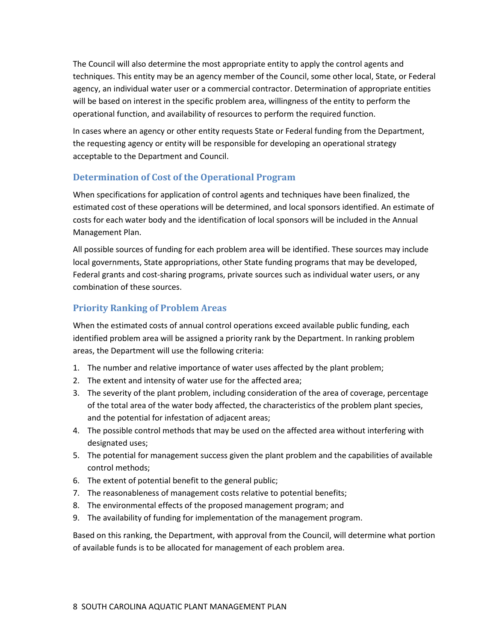The Council will also determine the most appropriate entity to apply the control agents and techniques. This entity may be an agency member of the Council, some other local, State, or Federal agency, an individual water user or a commercial contractor. Determination of appropriate entities will be based on interest in the specific problem area, willingness of the entity to perform the operational function, and availability of resources to perform the required function.

In cases where an agency or other entity requests State or Federal funding from the Department, the requesting agency or entity will be responsible for developing an operational strategy acceptable to the Department and Council.

#### <span id="page-10-0"></span>**Determination of Cost of the Operational Program**

When specifications for application of control agents and techniques have been finalized, the estimated cost of these operations will be determined, and local sponsors identified. An estimate of costs for each water body and the identification of local sponsors will be included in the Annual Management Plan.

All possible sources of funding for each problem area will be identified. These sources may include local governments, State appropriations, other State funding programs that may be developed, Federal grants and cost-sharing programs, private sources such as individual water users, or any combination of these sources.

#### <span id="page-10-1"></span>**Priority Ranking of Problem Areas**

When the estimated costs of annual control operations exceed available public funding, each identified problem area will be assigned a priority rank by the Department. In ranking problem areas, the Department will use the following criteria:

- 1. The number and relative importance of water uses affected by the plant problem;
- 2. The extent and intensity of water use for the affected area;
- 3. The severity of the plant problem, including consideration of the area of coverage, percentage of the total area of the water body affected, the characteristics of the problem plant species, and the potential for infestation of adjacent areas;
- 4. The possible control methods that may be used on the affected area without interfering with designated uses;
- 5. The potential for management success given the plant problem and the capabilities of available control methods;
- 6. The extent of potential benefit to the general public;
- 7. The reasonableness of management costs relative to potential benefits;
- 8. The environmental effects of the proposed management program; and
- 9. The availability of funding for implementation of the management program.

Based on this ranking, the Department, with approval from the Council, will determine what portion of available funds is to be allocated for management of each problem area.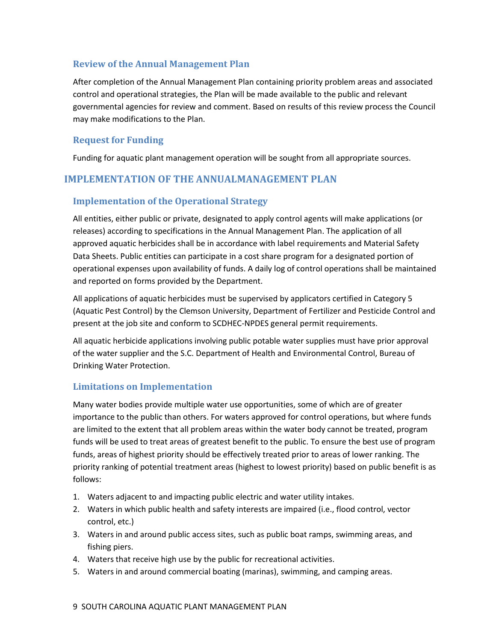#### <span id="page-11-0"></span>**Review of the Annual Management Plan**

After completion of the Annual Management Plan containing priority problem areas and associated control and operational strategies, the Plan will be made available to the public and relevant governmental agencies for review and comment. Based on results of this review process the Council may make modifications to the Plan.

#### <span id="page-11-1"></span>**Request for Funding**

Funding for aquatic plant management operation will be sought from all appropriate sources.

#### <span id="page-11-2"></span>**IMPLEMENTATION OF THE ANNUALMANAGEMENT PLAN**

#### <span id="page-11-3"></span>**Implementation of the Operational Strategy**

All entities, either public or private, designated to apply control agents will make applications (or releases) according to specifications in the Annual Management Plan. The application of all approved aquatic herbicides shall be in accordance with label requirements and Material Safety Data Sheets. Public entities can participate in a cost share program for a designated portion of operational expenses upon availability of funds. A daily log of control operations shall be maintained and reported on forms provided by the Department.

All applications of aquatic herbicides must be supervised by applicators certified in Category 5 (Aquatic Pest Control) by the Clemson University, Department of Fertilizer and Pesticide Control and present at the job site and conform to SCDHEC-NPDES general permit requirements.

All aquatic herbicide applications involving public potable water supplies must have prior approval of the water supplier and the S.C. Department of Health and Environmental Control, Bureau of Drinking Water Protection.

#### <span id="page-11-4"></span>**Limitations on Implementation**

Many water bodies provide multiple water use opportunities, some of which are of greater importance to the public than others. For waters approved for control operations, but where funds are limited to the extent that all problem areas within the water body cannot be treated, program funds will be used to treat areas of greatest benefit to the public. To ensure the best use of program funds, areas of highest priority should be effectively treated prior to areas of lower ranking. The priority ranking of potential treatment areas (highest to lowest priority) based on public benefit is as follows:

- 1. Waters adjacent to and impacting public electric and water utility intakes.
- 2. Waters in which public health and safety interests are impaired (i.e., flood control, vector control, etc.)
- 3. Waters in and around public access sites, such as public boat ramps, swimming areas, and fishing piers.
- 4. Waters that receive high use by the public for recreational activities.
- 5. Waters in and around commercial boating (marinas), swimming, and camping areas.

#### 9 SOUTH CAROLINA AQUATIC PLANT MANAGEMENT PLAN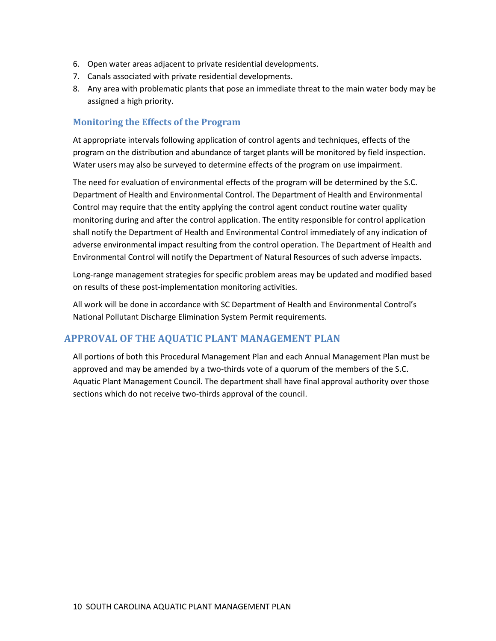- 6. Open water areas adjacent to private residential developments.
- 7. Canals associated with private residential developments.
- 8. Any area with problematic plants that pose an immediate threat to the main water body may be assigned a high priority.

#### <span id="page-12-0"></span>**Monitoring the Effects of the Program**

At appropriate intervals following application of control agents and techniques, effects of the program on the distribution and abundance of target plants will be monitored by field inspection. Water users may also be surveyed to determine effects of the program on use impairment.

The need for evaluation of environmental effects of the program will be determined by the S.C. Department of Health and Environmental Control. The Department of Health and Environmental Control may require that the entity applying the control agent conduct routine water quality monitoring during and after the control application. The entity responsible for control application shall notify the Department of Health and Environmental Control immediately of any indication of adverse environmental impact resulting from the control operation. The Department of Health and Environmental Control will notify the Department of Natural Resources of such adverse impacts.

Long-range management strategies for specific problem areas may be updated and modified based on results of these post-implementation monitoring activities.

All work will be done in accordance with SC Department of Health and Environmental Control's National Pollutant Discharge Elimination System Permit requirements.

#### <span id="page-12-1"></span>**APPROVAL OF THE AQUATIC PLANT MANAGEMENT PLAN**

All portions of both this Procedural Management Plan and each Annual Management Plan must be approved and may be amended by a two-thirds vote of a quorum of the members of the S.C. Aquatic Plant Management Council. The department shall have final approval authority over those sections which do not receive two-thirds approval of the council.